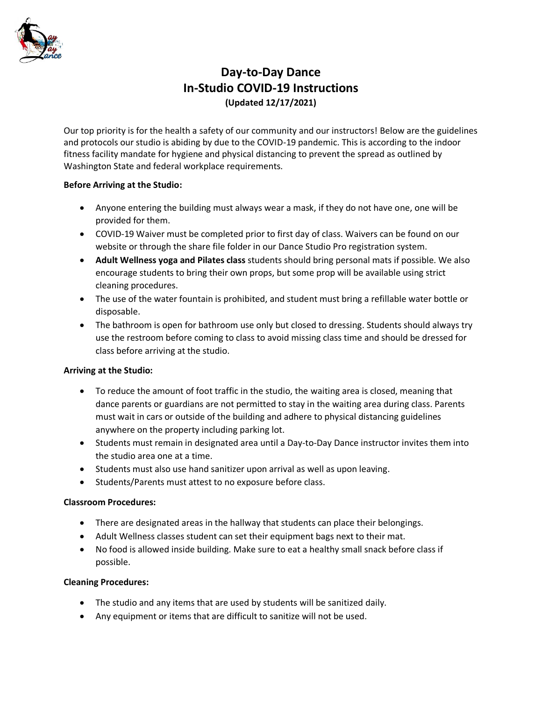

# **Day-to-Day Dance In-Studio COVID-19 Instructions (Updated 12/17/2021)**

Our top priority is for the health a safety of our community and our instructors! Below are the guidelines and protocols our studio is abiding by due to the COVID-19 pandemic. This is according to the indoor fitness facility mandate for hygiene and physical distancing to prevent the spread as outlined by Washington State and federal workplace requirements.

## **Before Arriving at the Studio:**

- Anyone entering the building must always wear a mask, if they do not have one, one will be provided for them.
- COVID-19 Waiver must be completed prior to first day of class. Waivers can be found on our website or through the share file folder in our Dance Studio Pro registration system.
- **Adult Wellness yoga and Pilates class** students should bring personal mats if possible. We also encourage students to bring their own props, but some prop will be available using strict cleaning procedures.
- The use of the water fountain is prohibited, and student must bring a refillable water bottle or disposable.
- The bathroom is open for bathroom use only but closed to dressing. Students should always try use the restroom before coming to class to avoid missing class time and should be dressed for class before arriving at the studio.

# **Arriving at the Studio:**

- To reduce the amount of foot traffic in the studio, the waiting area is closed, meaning that dance parents or guardians are not permitted to stay in the waiting area during class. Parents must wait in cars or outside of the building and adhere to physical distancing guidelines anywhere on the property including parking lot.
- Students must remain in designated area until a Day-to-Day Dance instructor invites them into the studio area one at a time.
- Students must also use hand sanitizer upon arrival as well as upon leaving.
- Students/Parents must attest to no exposure before class.

## **Classroom Procedures:**

- There are designated areas in the hallway that students can place their belongings.
- Adult Wellness classes student can set their equipment bags next to their mat.
- No food is allowed inside building. Make sure to eat a healthy small snack before class if possible.

## **Cleaning Procedures:**

- The studio and any items that are used by students will be sanitized daily.
- Any equipment or items that are difficult to sanitize will not be used.